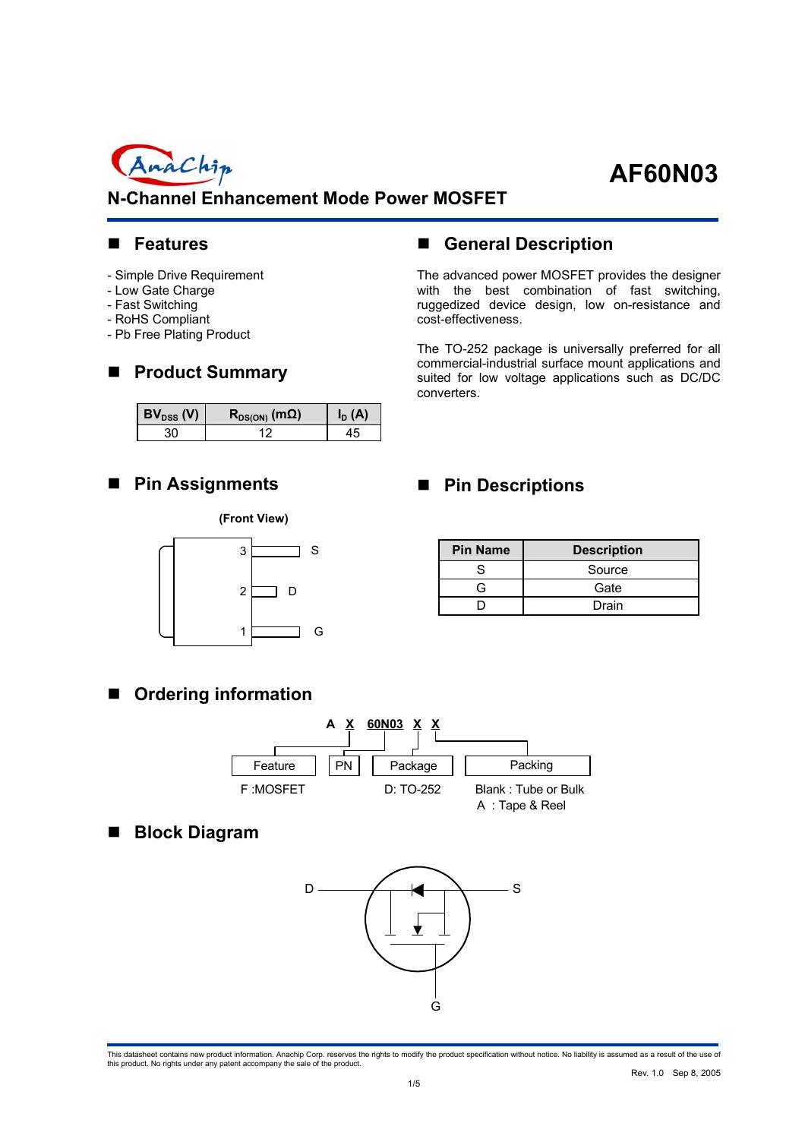

## **N-Channel Enhancement Mode Power MOSFET**

#### **Features**

- Simple Drive Requirement
- Low Gate Charge
- Fast Switching
- RoHS Compliant
- Pb Free Plating Product

## ■ Product Summary

| $\mathsf{BV}_{\texttt{DSS}}(V)$ | $\mathsf{R}_{\mathsf{DS}(\mathsf{ON})}$ (m $\Omega$ ) |  |
|---------------------------------|-------------------------------------------------------|--|
|                                 |                                                       |  |

#### **Pin Assignments**

#### **(Front View)**



## **General Description**

The advanced power MOSFET provides the designer with the best combination of fast switching, ruggedized device design, low on-resistance and cost-effectiveness.

The TO-252 package is universally preferred for all commercial-industrial surface mount applications and suited for low voltage applications such as DC/DC converters.

## **Pin Descriptions**

| <b>Pin Name</b> | <b>Description</b> |
|-----------------|--------------------|
|                 | Source             |
| ↷               | Gate               |
|                 | Drain              |

## **Ordering information**



## **Block Diagram**

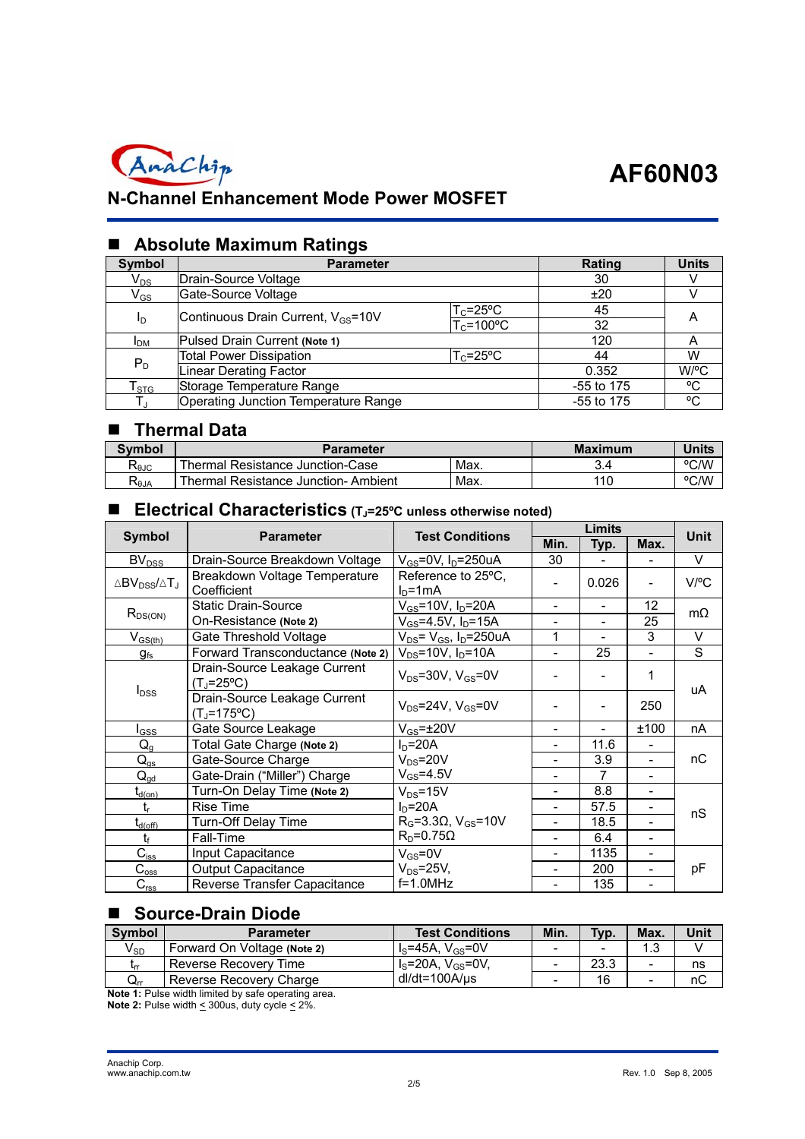

## **N-Channel Enhancement Mode Power MOSFET**

## **Absolute Maximum Ratings**

| Symbol                     | <b>Parameter</b>                                                                  | Rating                | <b>Units</b> |      |
|----------------------------|-----------------------------------------------------------------------------------|-----------------------|--------------|------|
| $\mathsf{V}_{\mathsf{DS}}$ | Drain-Source Voltage                                                              |                       | 30           |      |
| $\mathsf{V}_{\mathsf{GS}}$ | Gate-Source Voltage                                                               |                       | ±20          |      |
| $I_D$                      | $\mathsf{T}_{\mathsf{C}}$ =25°C<br>Continuous Drain Current, V <sub>GS</sub> =10V |                       | 45           | A    |
|                            |                                                                                   | $T_c = 100^{\circ}$ C | 32           |      |
| <b>I</b> <sub>DM</sub>     | Pulsed Drain Current (Note 1)                                                     |                       | 120          |      |
|                            | <b>Total Power Dissipation</b>                                                    | $T_c = 25$ °C         | 44           | W    |
| $P_D$                      | <b>Linear Derating Factor</b>                                                     |                       | 0.352        | W/°C |
| $\mathsf{T}_{\text{STG}}$  | Storage Temperature Range                                                         |                       | $-55$ to 175 | °C   |
| $T_J$                      | Operating Junction Temperature Range                                              | $-55$ to 175          | °C           |      |

## **Thermal Data**

| <b>Symbol</b>                           | <b>Parameter</b>                      | <b>Maximum</b> | <b>Units</b> |      |
|-----------------------------------------|---------------------------------------|----------------|--------------|------|
| ≺θJC                                    | I Thermal Resistance Junction-Case    | Max.           |              | °C/W |
| $\mathsf{R}_{\textsf{\scriptsize 6JA}}$ | I Thermal Resistance Junction-Ambient | Max.           | 110          | °C/W |

#### **Electrical Characteristics (TJ=25ºC unless otherwise noted)**

|                                    | <b>Parameter</b>                             | <b>Test Conditions</b>                      | Limits                       |                          |      | Unit      |  |
|------------------------------------|----------------------------------------------|---------------------------------------------|------------------------------|--------------------------|------|-----------|--|
| <b>Symbol</b>                      |                                              |                                             | Min.                         | Typ.                     | Max. |           |  |
| $BV_{DSS}$                         | Drain-Source Breakdown Voltage               | $V_{GS}$ =0V, I <sub>D</sub> =250uA         | 30                           |                          |      | $\vee$    |  |
| $\triangle BV_{DSS}/\triangle T_J$ | Breakdown Voltage Temperature<br>Coefficient | Reference to 25°C,<br>$ID=1mA$              | -                            | 0.026                    | -    | V/°C      |  |
| $R_{DS(ON)}$                       | <b>Static Drain-Source</b>                   | V <sub>GS</sub> =10V, I <sub>D</sub> =20A   | $\overline{\phantom{a}}$     | $\overline{\phantom{a}}$ | 12   | $m\Omega$ |  |
|                                    | On-Resistance (Note 2)                       | $V_{GS}$ =4.5V, I <sub>D</sub> =15A         | $\overline{\phantom{a}}$     | ۰                        | 25   |           |  |
| $V_{GS(th)}$                       | Gate Threshold Voltage                       | $V_{DS}$ = $V_{GS}$ , I <sub>D</sub> =250uA | 1                            | ٠                        | 3    | $\vee$    |  |
| $g_{\rm fs}$                       | Forward Transconductance (Note 2)            | $V_{DS}$ =10V, $I_D$ =10A                   | $\qquad \qquad \blacksquare$ | 25                       |      | S         |  |
|                                    | Drain-Source Leakage Current<br>(T」=25°C)    | $V_{DS}$ =30V, $V_{GS}$ =0V                 |                              |                          | 1    |           |  |
| $I_{DSS}$                          | Drain-Source Leakage Current<br>(T」=175°C)   | $V_{DS}$ =24V, $V_{GS}$ =0V                 |                              | $\overline{\phantom{a}}$ | 250  | uA        |  |
| $I_{GSS}$                          | Gate Source Leakage                          | $V_{GS} = \pm 20V$                          |                              |                          | ±100 | nA        |  |
| $Q_{q}$                            | Total Gate Charge (Note 2)                   | $ID=20A$                                    |                              | 11.6                     |      |           |  |
| $Q_{q\underline{s}}$               | Gate-Source Charge                           | $V_{DS} = 20V$                              | -                            | 3.9                      |      | пC        |  |
| $Q_{qd}$                           | Gate-Drain ("Miller") Charge                 | $V_{GS} = 4.5V$                             | $\overline{\phantom{a}}$     | 7                        | ۰    |           |  |
| t <sub>d(on)</sub>                 | Turn-On Delay Time (Note 2)                  | $V_{DS} = 15V$                              | $\overline{\phantom{a}}$     | 8.8                      | -    |           |  |
| $t_{r}$                            | <b>Rise Time</b>                             | $ID=20A$                                    | $\qquad \qquad \blacksquare$ | 57.5                     |      | nS        |  |
| $t_{d(\text{off})}$                | Turn-Off Delay Time                          | $RG=3.3\Omega$ , $VGS=10V$                  | $\overline{\phantom{a}}$     | 18.5                     |      |           |  |
| $t_{\rm f}$                        | Fall-Time                                    | $R_D = 0.75\Omega$                          |                              | 6.4                      |      |           |  |
| $C_{\text{iss}}$                   | Input Capacitance                            | $V_{GS} = 0V$                               |                              | 1135                     | -    |           |  |
| $\mathsf{C}_{\mathrm{oss}}$        | <b>Output Capacitance</b>                    | $V_{DS} = 25V$ ,                            | -                            | 200                      |      | pF        |  |
| $C_{\text{rss}}$                   | Reverse Transfer Capacitance                 | $f=1.0MHz$                                  |                              | 135                      | -    |           |  |

## **Source-Drain Diode**

| <b>Symbol</b>              | <b>Parameter</b>            | <b>Test Conditions</b>        | Min.                     | Typ. | Max.                     | Unit |
|----------------------------|-----------------------------|-------------------------------|--------------------------|------|--------------------------|------|
| $\mathsf{V}_{\mathsf{SD}}$ | Forward On Voltage (Note 2) | $I_s = 45A$ , $V_{gs} = 0V$   | $\overline{\phantom{0}}$ |      |                          |      |
| Lrr                        | Reverse Recovery Time       | $I_s = 20A$ , $V_{gs} = 0V$ , | -                        | 23.3 | $\overline{\phantom{0}}$ | ns   |
| $\mathsf{Q}_{\mathsf{rr}}$ | Reverse Recovery Charge     | dl/dt=100A/us                 | $\overline{\phantom{0}}$ | 16   |                          | пC   |

**Note 1:** Pulse width limited by safe operating area. **Note 2:** Pulse width  $\leq$  300us, duty cycle  $\leq$  2%.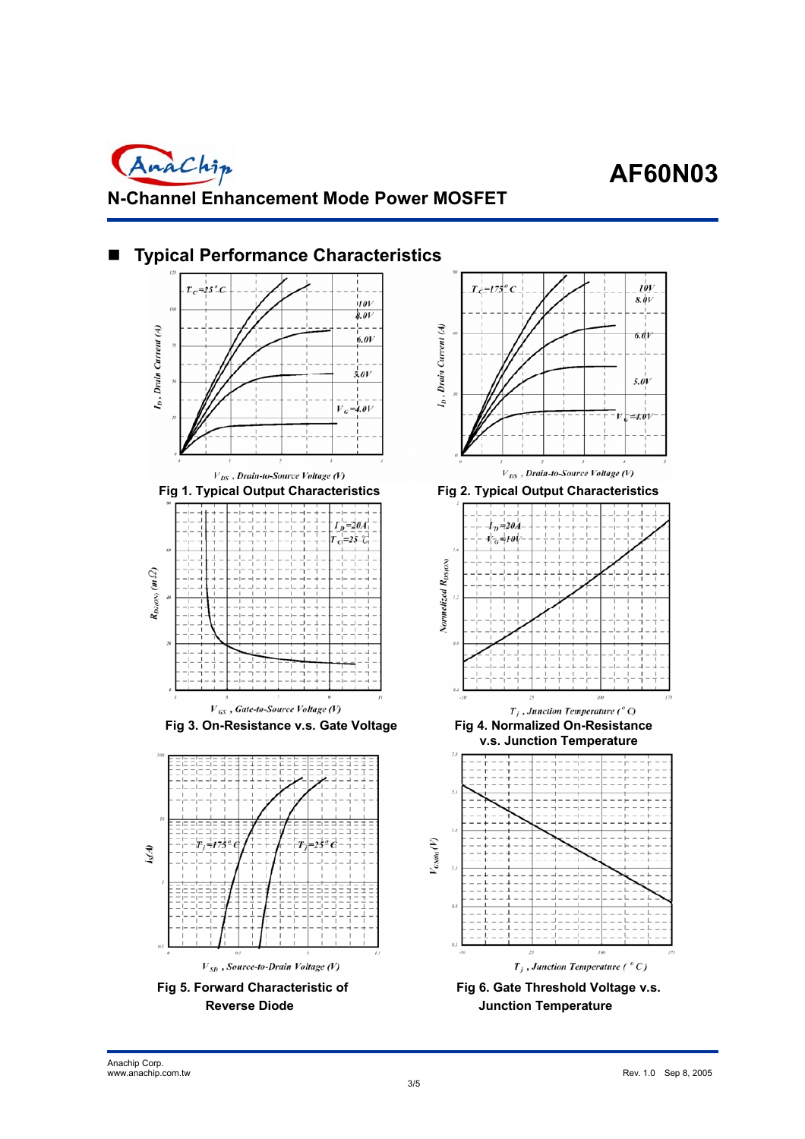AnaChip **N-Channel Enhancement Mode Power MOSFET** 

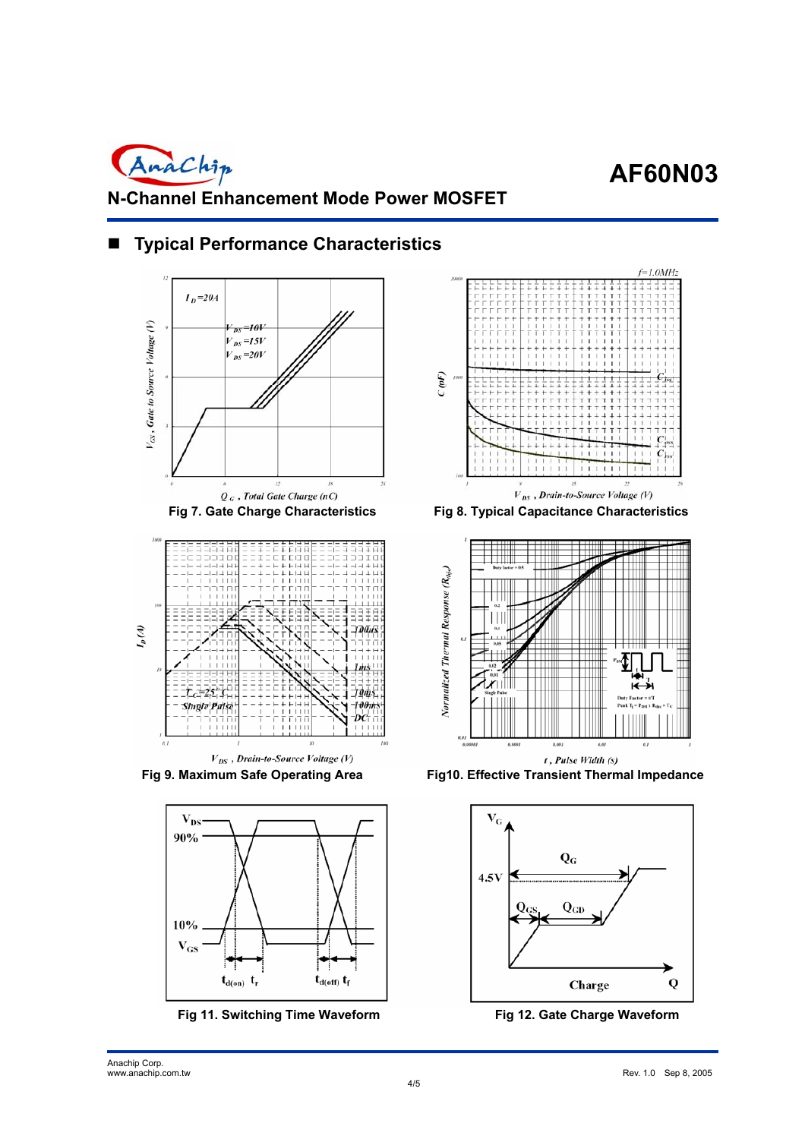















**Fig 9. Maximum Safe Operating Area Fig10. Effective Transient Thermal Impedance**